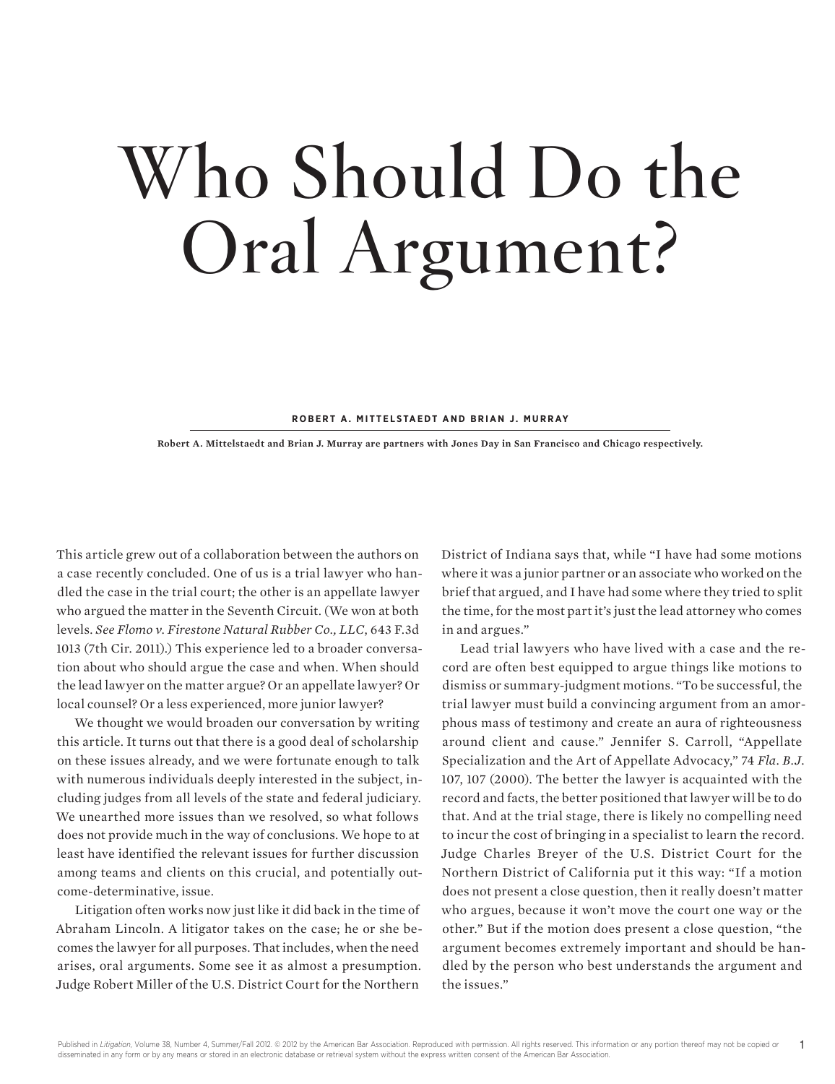# **Who Should Do the Oral Argument?**

**Robert A. Mittelstaedt and Brian J. Murray**

**Robert A. Mittelstaedt and Brian J. Murray are partners with Jones Day in San Francisco and Chicago respectively.**

This article grew out of a collaboration between the authors on a case recently concluded. One of us is a trial lawyer who handled the case in the trial court; the other is an appellate lawyer who argued the matter in the Seventh Circuit. (We won at both levels. *See Flomo v. Firestone Natural Rubber Co., LLC*, 643 F.3d 1013 (7th Cir. 2011).) This experience led to a broader conversation about who should argue the case and when. When should the lead lawyer on the matter argue? Or an appellate lawyer? Or local counsel? Or a less experienced, more junior lawyer?

We thought we would broaden our conversation by writing this article. It turns out that there is a good deal of scholarship on these issues already, and we were fortunate enough to talk with numerous individuals deeply interested in the subject, including judges from all levels of the state and federal judiciary. We unearthed more issues than we resolved, so what follows does not provide much in the way of conclusions. We hope to at least have identified the relevant issues for further discussion among teams and clients on this crucial, and potentially outcome-determinative, issue.

Litigation often works now just like it did back in the time of Abraham Lincoln. A litigator takes on the case; he or she becomes the lawyer for all purposes. That includes, when the need arises, oral arguments. Some see it as almost a presumption. Judge Robert Miller of the U.S. District Court for the Northern

District of Indiana says that, while "I have had some motions where it was a junior partner or an associate who worked on the brief that argued, and I have had some where they tried to split the time, for the most part it's just the lead attorney who comes in and argues."

Lead trial lawyers who have lived with a case and the record are often best equipped to argue things like motions to dismiss or summary-judgment motions. "To be successful, the trial lawyer must build a convincing argument from an amorphous mass of testimony and create an aura of righteousness around client and cause." Jennifer S. Carroll, "Appellate Specialization and the Art of Appellate Advocacy," 74 *Fla. B.J.* 107, 107 (2000). The better the lawyer is acquainted with the record and facts, the better positioned that lawyer will be to do that. And at the trial stage, there is likely no compelling need to incur the cost of bringing in a specialist to learn the record. Judge Charles Breyer of the U.S. District Court for the Northern District of California put it this way: "If a motion does not present a close question, then it really doesn't matter who argues, because it won't move the court one way or the other." But if the motion does present a close question, "the argument becomes extremely important and should be handled by the person who best understands the argument and the issues."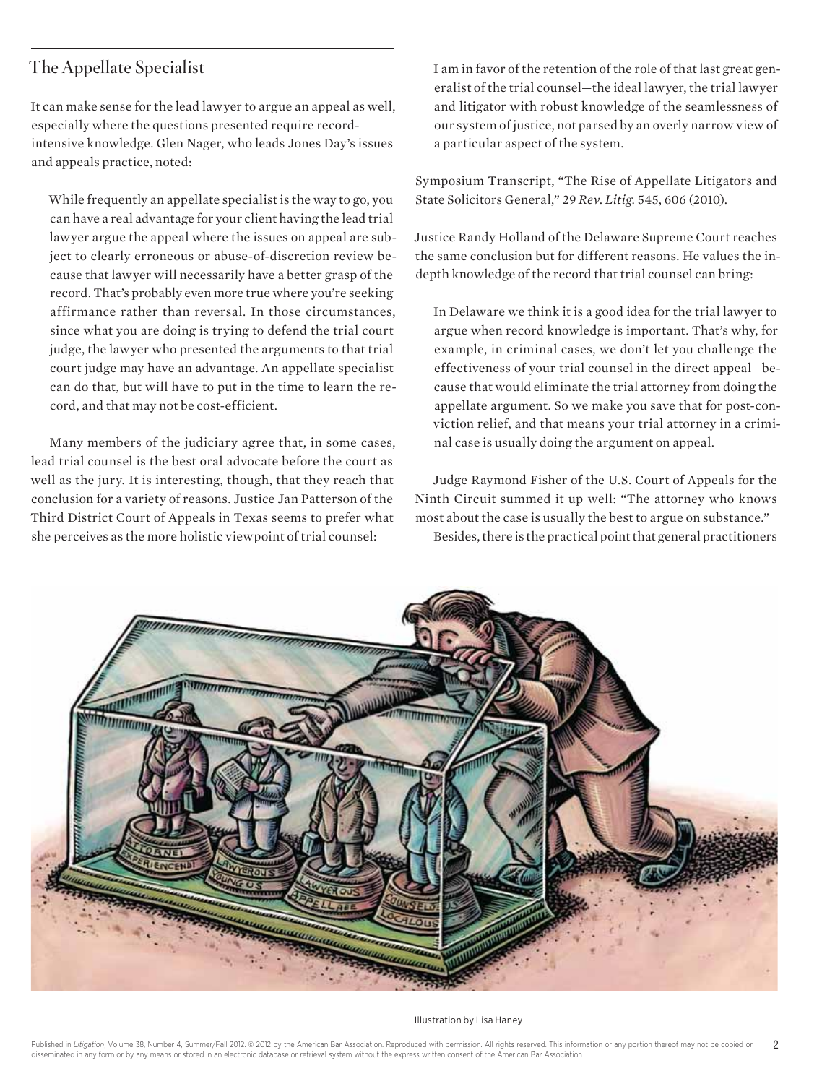#### **The Appellate Specialist**

It can make sense for the lead lawyer to argue an appeal as well, especially where the questions presented require recordintensive knowledge. Glen Nager, who leads Jones Day's issues and appeals practice, noted:

While frequently an appellate specialist is the way to go, you can have a real advantage for your client having the lead trial lawyer argue the appeal where the issues on appeal are subject to clearly erroneous or abuse-of-discretion review because that lawyer will necessarily have a better grasp of the record. That's probably even more true where you're seeking affirmance rather than reversal. In those circumstances, since what you are doing is trying to defend the trial court judge, the lawyer who presented the arguments to that trial court judge may have an advantage. An appellate specialist can do that, but will have to put in the time to learn the record, and that may not be cost-efficient.

Many members of the judiciary agree that, in some cases, lead trial counsel is the best oral advocate before the court as well as the jury. It is interesting, though, that they reach that conclusion for a variety of reasons. Justice Jan Patterson of the Third District Court of Appeals in Texas seems to prefer what she perceives as the more holistic viewpoint of trial counsel:

I am in favor of the retention of the role of that last great generalist of the trial counsel—the ideal lawyer, the trial lawyer and litigator with robust knowledge of the seamlessness of our system of justice, not parsed by an overly narrow view of a particular aspect of the system.

Symposium Transcript, "The Rise of Appellate Litigators and State Solicitors General," 29 *Rev. Litig.* 545, 606 (2010).

Justice Randy Holland of the Delaware Supreme Court reaches the same conclusion but for different reasons. He values the indepth knowledge of the record that trial counsel can bring:

In Delaware we think it is a good idea for the trial lawyer to argue when record knowledge is important. That's why, for example, in criminal cases, we don't let you challenge the effectiveness of your trial counsel in the direct appeal—because that would eliminate the trial attorney from doing the appellate argument. So we make you save that for post-conviction relief, and that means your trial attorney in a criminal case is usually doing the argument on appeal.

Judge Raymond Fisher of the U.S. Court of Appeals for the Ninth Circuit summed it up well: "The attorney who knows most about the case is usually the best to argue on substance." Besides, there is the practical point that general practitioners



Illustration by Lisa Haney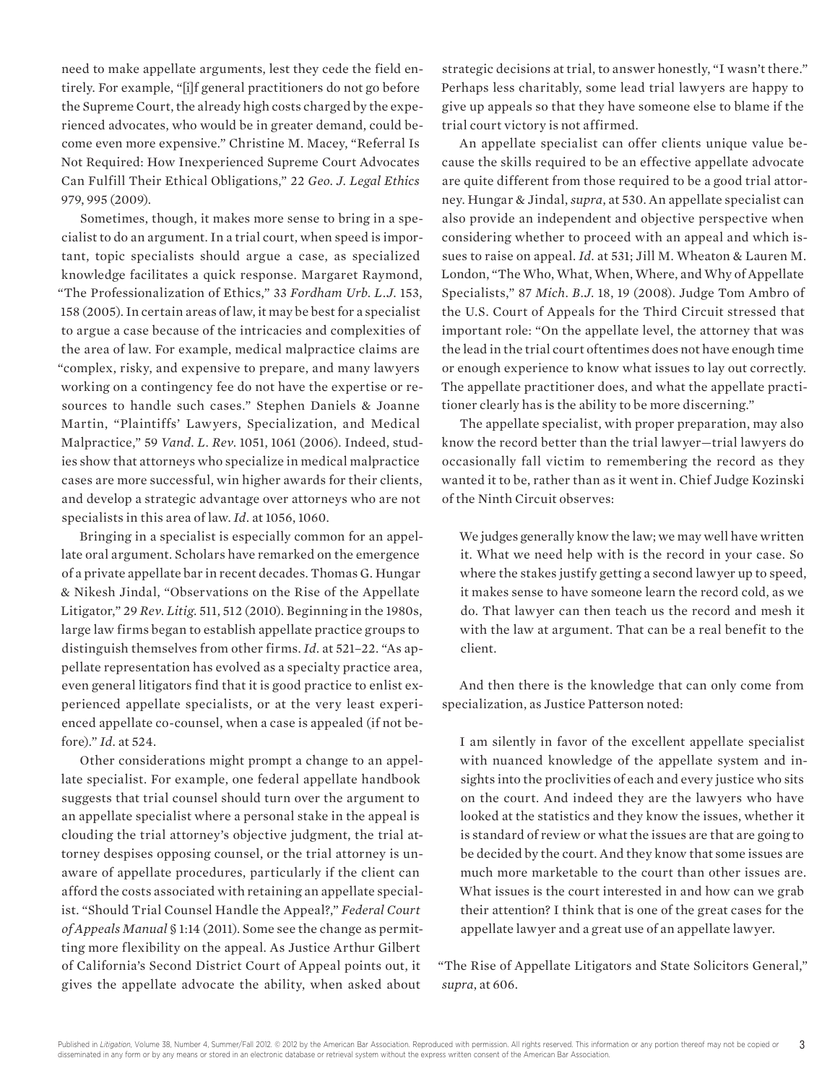need to make appellate arguments, lest they cede the field entirely. For example, "[i]f general practitioners do not go before the Supreme Court, the already high costs charged by the experienced advocates, who would be in greater demand, could become even more expensive." Christine M. Macey, "Referral Is Not Required: How Inexperienced Supreme Court Advocates Can Fulfill Their Ethical Obligations," 22 *Geo. J. Legal Ethics* 979, 995 (2009).

Sometimes, though, it makes more sense to bring in a specialist to do an argument. In a trial court, when speed is important, topic specialists should argue a case, as specialized knowledge facilitates a quick response. Margaret Raymond, "The Professionalization of Ethics," 33 *Fordham Urb. L.J.* 153, 158 (2005). In certain areas of law, it may be best for a specialist to argue a case because of the intricacies and complexities of the area of law. For example, medical malpractice claims are "complex, risky, and expensive to prepare, and many lawyers working on a contingency fee do not have the expertise or resources to handle such cases." Stephen Daniels & Joanne Martin, "Plaintiffs' Lawyers, Specialization, and Medical Malpractice," 59 *Vand. L. Rev.* 1051, 1061 (2006). Indeed, studies show that attorneys who specialize in medical malpractice cases are more successful, win higher awards for their clients, and develop a strategic advantage over attorneys who are not specialists in this area of law. *Id.* at 1056, 1060.

Bringing in a specialist is especially common for an appellate oral argument. Scholars have remarked on the emergence of a private appellate bar in recent decades. Thomas G. Hungar & Nikesh Jindal, "Observations on the Rise of the Appellate Litigator," 29 *Rev. Litig.* 511, 512 (2010). Beginning in the 1980s, large law firms began to establish appellate practice groups to distinguish themselves from other firms. *Id.* at 521–22. "As appellate representation has evolved as a specialty practice area, even general litigators find that it is good practice to enlist experienced appellate specialists, or at the very least experienced appellate co-counsel, when a case is appealed (if not before)." *Id.* at 524.

Other considerations might prompt a change to an appellate specialist. For example, one federal appellate handbook suggests that trial counsel should turn over the argument to an appellate specialist where a personal stake in the appeal is clouding the trial attorney's objective judgment, the trial attorney despises opposing counsel, or the trial attorney is unaware of appellate procedures, particularly if the client can afford the costs associated with retaining an appellate specialist. "Should Trial Counsel Handle the Appeal?," *Federal Court of Appeals Manual* § 1:14 (2011). Some see the change as permitting more flexibility on the appeal. As Justice Arthur Gilbert of California's Second District Court of Appeal points out, it gives the appellate advocate the ability, when asked about strategic decisions at trial, to answer honestly, "I wasn't there." Perhaps less charitably, some lead trial lawyers are happy to give up appeals so that they have someone else to blame if the trial court victory is not affirmed.

An appellate specialist can offer clients unique value because the skills required to be an effective appellate advocate are quite different from those required to be a good trial attorney. Hungar & Jindal, *supra*, at 530. An appellate specialist can also provide an independent and objective perspective when considering whether to proceed with an appeal and which issues to raise on appeal. *Id.* at 531; Jill M. Wheaton & Lauren M. London, "The Who, What, When, Where, and Why of Appellate Specialists," 87 *Mich. B.J.* 18, 19 (2008). Judge Tom Ambro of the U.S. Court of Appeals for the Third Circuit stressed that important role: "On the appellate level, the attorney that was the lead in the trial court oftentimes does not have enough time or enough experience to know what issues to lay out correctly. The appellate practitioner does, and what the appellate practitioner clearly has is the ability to be more discerning."

The appellate specialist, with proper preparation, may also know the record better than the trial lawyer—trial lawyers do occasionally fall victim to remembering the record as they wanted it to be, rather than as it went in. Chief Judge Kozinski of the Ninth Circuit observes:

We judges generally know the law; we may well have written it. What we need help with is the record in your case. So where the stakes justify getting a second lawyer up to speed, it makes sense to have someone learn the record cold, as we do. That lawyer can then teach us the record and mesh it with the law at argument. That can be a real benefit to the client.

And then there is the knowledge that can only come from specialization, as Justice Patterson noted:

I am silently in favor of the excellent appellate specialist with nuanced knowledge of the appellate system and insights into the proclivities of each and every justice who sits on the court. And indeed they are the lawyers who have looked at the statistics and they know the issues, whether it is standard of review or what the issues are that are going to be decided by the court. And they know that some issues are much more marketable to the court than other issues are. What issues is the court interested in and how can we grab their attention? I think that is one of the great cases for the appellate lawyer and a great use of an appellate lawyer.

"The Rise of Appellate Litigators and State Solicitors General," *supra*, at 606.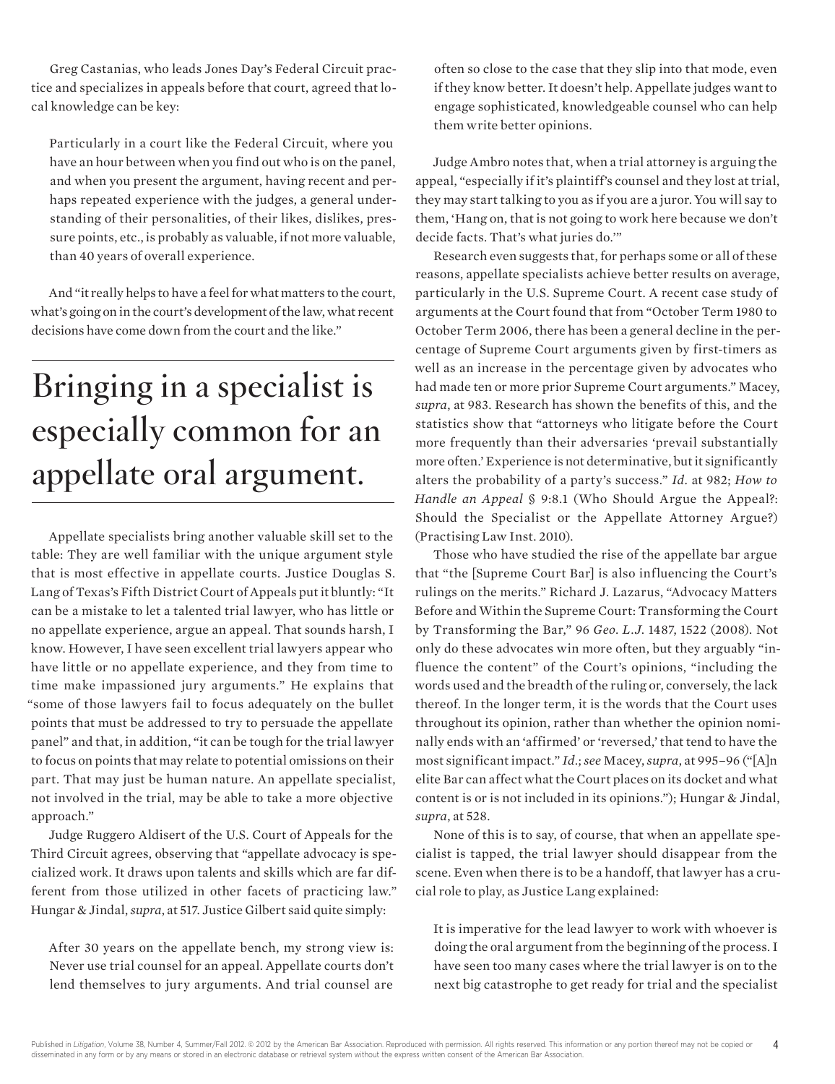Greg Castanias, who leads Jones Day's Federal Circuit practice and specializes in appeals before that court, agreed that local knowledge can be key:

Particularly in a court like the Federal Circuit, where you have an hour between when you find out who is on the panel, and when you present the argument, having recent and perhaps repeated experience with the judges, a general understanding of their personalities, of their likes, dislikes, pressure points, etc., is probably as valuable, if not more valuable, than 40 years of overall experience.

And "it really helps to have a feel for what matters to the court, what's going on in the court's development of the law, what recent decisions have come down from the court and the like."

### **Bringing in a specialist is especially common for an appellate oral argument.**

Appellate specialists bring another valuable skill set to the table: They are well familiar with the unique argument style that is most effective in appellate courts. Justice Douglas S. Lang of Texas's Fifth District Court of Appeals put it bluntly: "It can be a mistake to let a talented trial lawyer, who has little or no appellate experience, argue an appeal. That sounds harsh, I know. However, I have seen excellent trial lawyers appear who have little or no appellate experience, and they from time to time make impassioned jury arguments." He explains that "some of those lawyers fail to focus adequately on the bullet points that must be addressed to try to persuade the appellate panel" and that, in addition, "it can be tough for the trial lawyer to focus on points that may relate to potential omissions on their part. That may just be human nature. An appellate specialist, not involved in the trial, may be able to take a more objective approach."

Judge Ruggero Aldisert of the U.S. Court of Appeals for the Third Circuit agrees, observing that "appellate advocacy is specialized work. It draws upon talents and skills which are far different from those utilized in other facets of practicing law." Hungar & Jindal, *supra*, at 517. Justice Gilbert said quite simply:

After 30 years on the appellate bench, my strong view is: Never use trial counsel for an appeal. Appellate courts don't lend themselves to jury arguments. And trial counsel are often so close to the case that they slip into that mode, even if they know better. It doesn't help. Appellate judges want to engage sophisticated, knowledgeable counsel who can help them write better opinions.

Judge Ambro notes that, when a trial attorney is arguing the appeal, "especially if it's plaintiff's counsel and they lost at trial, they may start talking to you as if you are a juror. You will say to them, 'Hang on, that is not going to work here because we don't decide facts. That's what juries do.'"

Research even suggests that, for perhaps some or all of these reasons, appellate specialists achieve better results on average, particularly in the U.S. Supreme Court. A recent case study of arguments at the Court found that from "October Term 1980 to October Term 2006, there has been a general decline in the percentage of Supreme Court arguments given by first-timers as well as an increase in the percentage given by advocates who had made ten or more prior Supreme Court arguments." Macey, *supra*, at 983. Research has shown the benefits of this, and the statistics show that "attorneys who litigate before the Court more frequently than their adversaries 'prevail substantially more often.' Experience is not determinative, but it significantly alters the probability of a party's success." *Id.* at 982; *How to Handle an Appeal* § 9:8.1 (Who Should Argue the Appeal?: Should the Specialist or the Appellate Attorney Argue?) (Practising Law Inst. 2010).

Those who have studied the rise of the appellate bar argue that "the [Supreme Court Bar] is also influencing the Court's rulings on the merits." Richard J. Lazarus, "Advocacy Matters Before and Within the Supreme Court: Transforming the Court by Transforming the Bar," 96 *Geo. L.J.* 1487, 1522 (2008). Not only do these advocates win more often, but they arguably "influence the content" of the Court's opinions, "including the words used and the breadth of the ruling or, conversely, the lack thereof. In the longer term, it is the words that the Court uses throughout its opinion, rather than whether the opinion nominally ends with an 'affirmed' or 'reversed,' that tend to have the most significant impact." *Id.*; *see* Macey, *supra*, at 995–96 ("[A]n elite Bar can affect what the Court places on its docket and what content is or is not included in its opinions."); Hungar & Jindal, *supra*, at 528.

None of this is to say, of course, that when an appellate specialist is tapped, the trial lawyer should disappear from the scene. Even when there is to be a handoff, that lawyer has a crucial role to play, as Justice Lang explained:

It is imperative for the lead lawyer to work with whoever is doing the oral argument from the beginning of the process. I have seen too many cases where the trial lawyer is on to the next big catastrophe to get ready for trial and the specialist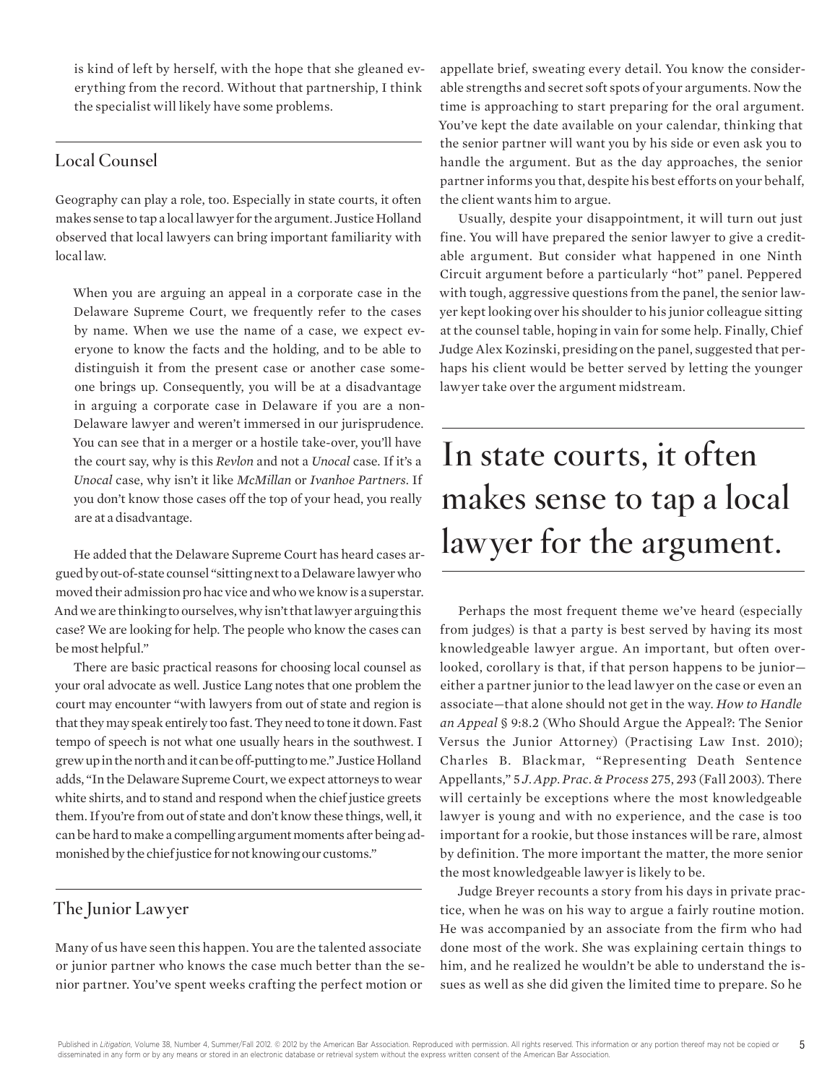is kind of left by herself, with the hope that she gleaned everything from the record. Without that partnership, I think the specialist will likely have some problems.

#### **Local Counsel**

Geography can play a role, too. Especially in state courts, it often makes sense to tap a local lawyer for the argument. Justice Holland observed that local lawyers can bring important familiarity with local law.

When you are arguing an appeal in a corporate case in the Delaware Supreme Court, we frequently refer to the cases by name. When we use the name of a case, we expect everyone to know the facts and the holding, and to be able to distinguish it from the present case or another case someone brings up. Consequently, you will be at a disadvantage in arguing a corporate case in Delaware if you are a non-Delaware lawyer and weren't immersed in our jurisprudence. You can see that in a merger or a hostile take-over, you'll have the court say, why is this *Revlon* and not a *Unocal* case. If it's a *Unocal* case, why isn't it like *McMillan* or *Ivanhoe Partners*. If you don't know those cases off the top of your head, you really are at a disadvantage.

He added that the Delaware Supreme Court has heard cases argued by out-of-state counsel "sitting next to a Delaware lawyer who moved their admission pro hac vice and who we know is a superstar. And we are thinking to ourselves, why isn't that lawyer arguing this case? We are looking for help. The people who know the cases can be most helpful."

There are basic practical reasons for choosing local counsel as your oral advocate as well. Justice Lang notes that one problem the court may encounter "with lawyers from out of state and region is that they may speak entirely too fast. They need to tone it down. Fast tempo of speech is not what one usually hears in the southwest. I grew up in the north and it can be off-putting to me." Justice Holland adds, "In the Delaware Supreme Court, we expect attorneys to wear white shirts, and to stand and respond when the chief justice greets them. If you're from out of state and don't know these things, well, it can be hard to make a compelling argument moments after being admonished by the chief justice for not knowing our customs."

#### **The Junior Lawyer**

Many of us have seen this happen. You are the talented associate or junior partner who knows the case much better than the senior partner. You've spent weeks crafting the perfect motion or

appellate brief, sweating every detail. You know the considerable strengths and secret soft spots of your arguments. Now the time is approaching to start preparing for the oral argument. You've kept the date available on your calendar, thinking that the senior partner will want you by his side or even ask you to handle the argument. But as the day approaches, the senior partner informs you that, despite his best efforts on your behalf, the client wants him to argue.

Usually, despite your disappointment, it will turn out just fine. You will have prepared the senior lawyer to give a creditable argument. But consider what happened in one Ninth Circuit argument before a particularly "hot" panel. Peppered with tough, aggressive questions from the panel, the senior lawyer kept looking over his shoulder to his junior colleague sitting at the counsel table, hoping in vain for some help. Finally, Chief Judge Alex Kozinski, presiding on the panel, suggested that perhaps his client would be better served by letting the younger lawyer take over the argument midstream.

### **In state courts, it often makes sense to tap a local lawyer for the argument.**

Perhaps the most frequent theme we've heard (especially from judges) is that a party is best served by having its most knowledgeable lawyer argue. An important, but often overlooked, corollary is that, if that person happens to be junior either a partner junior to the lead lawyer on the case or even an associate—that alone should not get in the way. *How to Handle an Appeal* § 9:8.2 (Who Should Argue the Appeal?: The Senior Versus the Junior Attorney) (Practising Law Inst. 2010); Charles B. Blackmar, "Representing Death Sentence Appellants," 5 *J. App. Prac. & Process* 275, 293 (Fall 2003). There will certainly be exceptions where the most knowledgeable lawyer is young and with no experience, and the case is too important for a rookie, but those instances will be rare, almost by definition. The more important the matter, the more senior the most knowledgeable lawyer is likely to be.

Judge Breyer recounts a story from his days in private practice, when he was on his way to argue a fairly routine motion. He was accompanied by an associate from the firm who had done most of the work. She was explaining certain things to him, and he realized he wouldn't be able to understand the issues as well as she did given the limited time to prepare. So he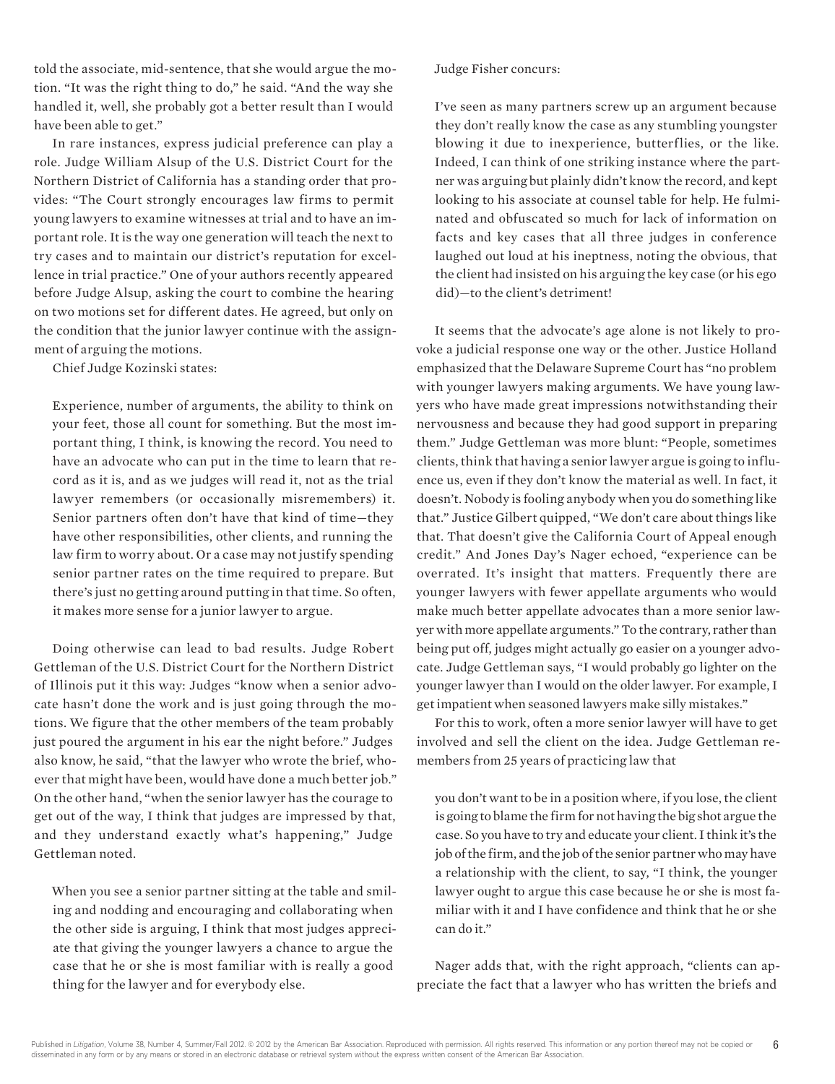told the associate, mid-sentence, that she would argue the motion. "It was the right thing to do," he said. "And the way she handled it, well, she probably got a better result than I would have been able to get."

In rare instances, express judicial preference can play a role. Judge William Alsup of the U.S. District Court for the Northern District of California has a standing order that provides: "The Court strongly encourages law firms to permit young lawyers to examine witnesses at trial and to have an important role. It is the way one generation will teach the next to try cases and to maintain our district's reputation for excellence in trial practice." One of your authors recently appeared before Judge Alsup, asking the court to combine the hearing on two motions set for different dates. He agreed, but only on the condition that the junior lawyer continue with the assignment of arguing the motions.

Chief Judge Kozinski states:

Experience, number of arguments, the ability to think on your feet, those all count for something. But the most important thing, I think, is knowing the record. You need to have an advocate who can put in the time to learn that record as it is, and as we judges will read it, not as the trial lawyer remembers (or occasionally misremembers) it. Senior partners often don't have that kind of time—they have other responsibilities, other clients, and running the law firm to worry about. Or a case may not justify spending senior partner rates on the time required to prepare. But there's just no getting around putting in that time. So often, it makes more sense for a junior lawyer to argue.

Doing otherwise can lead to bad results. Judge Robert Gettleman of the U.S. District Court for the Northern District of Illinois put it this way: Judges "know when a senior advocate hasn't done the work and is just going through the motions. We figure that the other members of the team probably just poured the argument in his ear the night before." Judges also know, he said, "that the lawyer who wrote the brief, whoever that might have been, would have done a much better job." On the other hand, "when the senior lawyer has the courage to get out of the way, I think that judges are impressed by that, and they understand exactly what's happening," Judge Gettleman noted.

When you see a senior partner sitting at the table and smiling and nodding and encouraging and collaborating when the other side is arguing, I think that most judges appreciate that giving the younger lawyers a chance to argue the case that he or she is most familiar with is really a good thing for the lawyer and for everybody else.

Judge Fisher concurs:

I've seen as many partners screw up an argument because they don't really know the case as any stumbling youngster blowing it due to inexperience, butterflies, or the like. Indeed, I can think of one striking instance where the partner was arguing but plainly didn't know the record, and kept looking to his associate at counsel table for help. He fulminated and obfuscated so much for lack of information on facts and key cases that all three judges in conference laughed out loud at his ineptness, noting the obvious, that the client had insisted on his arguing the key case (or his ego did)—to the client's detriment!

It seems that the advocate's age alone is not likely to provoke a judicial response one way or the other. Justice Holland emphasized that the Delaware Supreme Court has "no problem with younger lawyers making arguments. We have young lawyers who have made great impressions notwithstanding their nervousness and because they had good support in preparing them." Judge Gettleman was more blunt: "People, sometimes clients, think that having a senior lawyer argue is going to influence us, even if they don't know the material as well. In fact, it doesn't. Nobody is fooling anybody when you do something like that." Justice Gilbert quipped, "We don't care about things like that. That doesn't give the California Court of Appeal enough credit." And Jones Day's Nager echoed, "experience can be overrated. It's insight that matters. Frequently there are younger lawyers with fewer appellate arguments who would make much better appellate advocates than a more senior lawyer with more appellate arguments." To the contrary, rather than being put off, judges might actually go easier on a younger advocate. Judge Gettleman says, "I would probably go lighter on the younger lawyer than I would on the older lawyer. For example, I get impatient when seasoned lawyers make silly mistakes."

For this to work, often a more senior lawyer will have to get involved and sell the client on the idea. Judge Gettleman remembers from 25 years of practicing law that

you don't want to be in a position where, if you lose, the client is going to blame the firm for not having the big shot argue the case. So you have to try and educate your client. I think it's the job of the firm, and the job of the senior partner who may have a relationship with the client, to say, "I think, the younger lawyer ought to argue this case because he or she is most familiar with it and I have confidence and think that he or she can do it."

Nager adds that, with the right approach, "clients can appreciate the fact that a lawyer who has written the briefs and